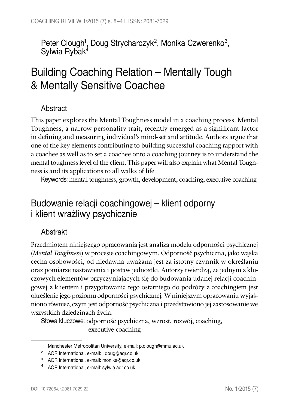Peter Clough<sup>1</sup>, Doug Strycharczyk<sup>2</sup>, Monika Czwerenko<sup>3</sup>, Sylwia Rybak<sup>4</sup>

# Building Coaching Relation – Mentally Tough & Mentally Sensitive Coachee

### Abstract

This paper explores the Mental Toughness model in a coaching process. Mental Toughness, a narrow personality trait, recently emerged as a significant factor in defining and measuring individual's mind-set and attitude. Authors argue that one of the key elements contributing to building successful coaching rapport with a coachee as well as to set a coachee onto a coaching journey is to understand the mental toughness level of the client. This paper will also explain what Mental Toughness is and its applications to all walks of life.

Keywords: mental toughness, growth, development, coaching, executive coaching

## Budowanie relacji coachingowej – klient odporny i klient wrażliwy psychicznie

### Abstrakt

Przedmiotem niniejszego opracowania jest analiza modelu odporności psychicznej (Mental Toughness) w procesie coachingowym. Odporność psychiczna, jako wąska cecha osobowości, od niedawna uważana jest za istotny czynnik w określaniu oraz pomiarze nastawienia i postaw jednostki. Autorzy twierdzą, że jednym z kluczowych elementów przyczyniających się do budowania udanej relacji coachingowej z klientem i przygotowania tego ostatniego do podróży z coachingiem jest określenie jego poziomu odporności psychicznej. W niniejszym opracowaniu wyjaśniono również, czym jest odporność psychiczna i przedstawiono jej zastosowanie we wszystkich dziedzinach życia.

Słowa kluczowe: odporność psychiczna, wzrost, rozwój, coaching, executive coaching

<sup>1</sup> Manchester Metropolitan University, e-mail: p.clough@mmu.ac.uk

<sup>2</sup> AQR International, e-mail: : doug@aqr.co.uk

<sup>3</sup> AQR International, e-mail: monika@aqr.co.uk

<sup>4</sup> AQR International, e-mail: sylwia.aqr.co.uk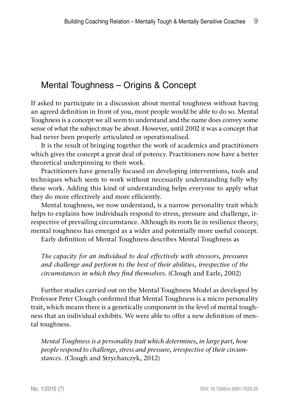## Mental Toughness – Origins & Concept

If asked to participate in a discussion about mental toughness without having an agreed definition in front of you, most people would be able to do so. Mental Toughness is a concept we all seem to understand and the name does convey some sense of what the subject may be about. However, until 2002 it was a concept that had never been properly articulated or operationalised.

It is the result of bringing together the work of academics and practitioners which gives the concept a great deal of potency. Practitioners now have a better theoretical underpinning to their work.

Practitioners have generally focused on developing interventions, tools and techniques which seem to work without necessarily understanding fully why these work. Adding this kind of understanding helps everyone to apply what they do more effectively and more efficiently.

Mental toughness, we now understand, is a narrow personality trait which helps to explains how individuals respond to stress, pressure and challenge, irrespective of prevailing circumstance. Although its roots lie in resilience theory, mental toughness has emerged as a wider and potentially more useful concept.

Early definition of Mental Toughness describes Mental Toughness as

The capacity for an individual to deal effectively with stressors, pressures and challenge and perform to the best of their abilities, irrespective of the circumstances in which they find themselves. (Clough and Earle, 2002)

Further studies carried out on the Mental Toughness Model as developed by Professor Peter Clough confirmed that Mental Toughness is a micro personality trait, which means there is a genetically component in the level of mental toughness that an individual exhibits. We were able to offer a new definition of mental toughness.

Mental Toughness is a personality trait which determines, in large part, how people respond to challenge, stress and pressure, irrespective of their circumstances. (Clough and Strycharczyk, 2012)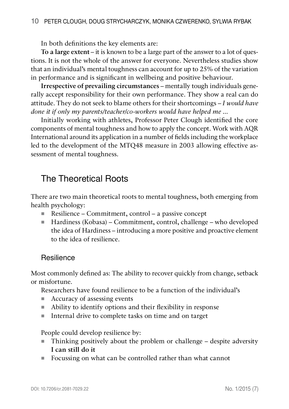In both definitions the key elements are:

To a large extent – it is known to be a large part of the answer to a lot of questions. It is not the whole of the answer for everyone. Nevertheless studies show that an individual's mental toughness can account for up to 25% of the variation in performance and is significant in wellbeing and positive behaviour.

Irrespective of prevailing circumstances – mentally tough individuals generally accept responsibility for their own performance. They show a real can do attitude. They do not seek to blame others for their shortcomings – I would have done it if only my parents/teacher/co-workers would have helped me ...

Initially working with athletes, Professor Peter Clough identified the core components of mental toughness and how to apply the concept. Work with AQR International around its application in a number of fields including the workplace led to the development of the MTQ48 measure in 2003 allowing effective assessment of mental toughness.

## The Theoretical Roots

There are two main theoretical roots to mental toughness, both emerging from health psychology:

- Resilience Commitment, control a passive concept
- Hardiness (Kobasa) Commitment, control, challenge who developed the idea of Hardiness – introducing a more positive and proactive element to the idea of resilience.

#### **Resilience**

Most commonly defined as: The ability to recover quickly from change, setback or misfortune.

Researchers have found resilience to be a function of the individual's

- Accuracy of assessing events
- Ability to identify options and their flexibility in response
- Internal drive to complete tasks on time and on target

People could develop resilience by:

- Thinking positively about the problem or challenge despite adversity I can still do it
- Focussing on what can be controlled rather than what cannot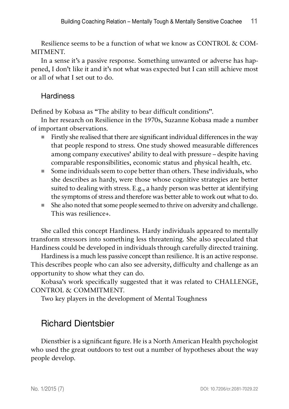Resilience seems to be a function of what we know as CONTROL & COM-MITMENT.

In a sense it's a passive response. Something unwanted or adverse has happened, I don't like it and it's not what was expected but I can still achieve most or all of what I set out to do.

### **Hardiness**

Defined by Kobasa as "The ability to bear difficult conditions".

In her research on Resilience in the 1970s, Suzanne Kobasa made a number of important observations.

- Firstly she realised that there are significant individual differences in the way that people respond to stress. One study showed measurable differences among company executives' ability to deal with pressure – despite having comparable responsibilities, economic status and physical health, etc.
- Some individuals seem to cope better than others. These individuals, who she describes as hardy, were those whose cognitive strategies are better suited to dealing with stress. E.g., a hardy person was better at identifying the symptoms of stress and therefore was better able to work out what to do.
- She also noted that some people seemed to thrive on adversity and challenge. This was resilience+.

She called this concept Hardiness. Hardy individuals appeared to mentally transform stressors into something less threatening. She also speculated that Hardiness could be developed in individuals through carefully directed training.

Hardiness is a much less passive concept than resilience. It is an active response. This describes people who can also see adversity, difficulty and challenge as an opportunity to show what they can do.

Kobasa's work specifically suggested that it was related to CHALLENGE, CONTROL & COMMITMENT.

Two key players in the development of Mental Toughness

## Richard Dientsbier

Dienstbier is a significant figure. He is a North American Health psychologist who used the great outdoors to test out a number of hypotheses about the way people develop.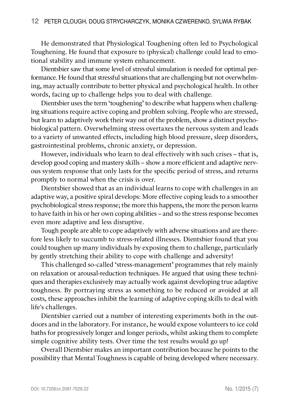He demonstrated that Physiological Toughening often led to Psychological Toughening. He found that exposure to (physical) challenge could lead to emotional stability and immune system enhancement.

Dientsbier saw that some level of stressful simulation is needed for optimal performance. He found that stressful situations that are challenging but not overwhelming, may actually contribute to better physical and psychological health. In other words, facing up to challenge helps you to deal with challenge.

Dientsbier uses the term 'toughening' to describe what happens when challenging situations require active coping and problem solving. People who are stressed, but learn to adaptively work their way out of the problem, show a distinct psychobiological pattern. Overwhelming stress overtaxes the nervous system and leads to a variety of unwanted effects, including high blood pressure, sleep disorders, gastrointestinal problems, chronic anxiety, or depression.

However, individuals who learn to deal effectively with such crises – that is, develop good coping and mastery skills – show a more efficient and adaptive nervous system response that only lasts for the specific period of stress, and returns promptly to normal when the crisis is over.

Dientsbier showed that as an individual learns to cope with challenges in an adaptive way, a positive spiral develops: More effective coping leads to a smoother psychobiological stress response; the more this happens, the more the person learns to have faith in his or her own coping abilities – and so the stress response becomes even more adaptive and less disruptive.

Tough people are able to cope adaptively with adverse situations and are therefore less likely to succumb to stress-related illnesses. Dientsbier found that you could toughen up many individuals by exposing them to challenge, particularly by gently stretching their ability to cope with challenge and adversity!

This challenged so-called 'stress-management' programmes that rely mainly on relaxation or arousal-reduction techniques. He argued that using these techniques and therapies exclusively may actually work against developing true adaptive toughness. By portraying stress as something to be reduced or avoided at all costs, these approaches inhibit the learning of adaptive coping skills to deal with life's challenges.

Dientsbier carried out a number of interesting experiments both in the outdoors and in the laboratory. For instance, he would expose volunteers to ice cold baths for progressively longer and longer periods, whilst asking them to complete simple cognitive ability tests. Over time the test results would go up!

Overall Dientsbier makes an important contribution because he points to the possibility that Mental Toughness is capable of being developed where necessary.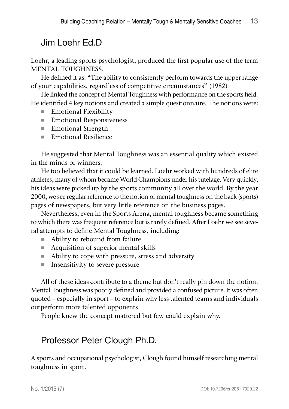## Jim Loehr Ed.D

Loehr, a leading sports psychologist, produced the first popular use of the term MENTAL TOUGHNESS.

He defined it as: "The ability to consistently perform towards the upper range of your capabilities, regardless of competitive circumstances" (1982)

He linked the concept of Mental Toughness with performance on the sports field. He identified 4 key notions and created a simple questionnaire. The notions were:

- Emotional Flexibility
- Emotional Responsiveness
- **Emotional Strength**
- Emotional Resilience

He suggested that Mental Toughness was an essential quality which existed in the minds of winners.

He too believed that it could be learned. Loehr worked with hundreds of elite athletes, many of whom became World Champions under his tutelage. Very quickly, his ideas were picked up by the sports community all over the world. By the year 2000, we see regular reference to the notion of mental toughness on the back (sports) pages of newspapers, but very little reference on the business pages.

Nevertheless, even in the Sports Arena, mental toughness became something to which there was frequent reference but is rarely defined. After Loehr we see several attempts to define Mental Toughness, including:

- Ability to rebound from failure
- Acquisition of superior mental skills
- Ability to cope with pressure, stress and adversity
- **Insensitivity to severe pressure**

All of these ideas contribute to a theme but don't really pin down the notion. Mental Toughness was poorly defined and provided a confused picture. It was often quoted – especially in sport – to explain why less talented teams and individuals outperform more talented opponents.

People knew the concept mattered but few could explain why.

## Professor Peter Clough Ph.D.

A sports and occupational psychologist, Clough found himself researching mental toughness in sport.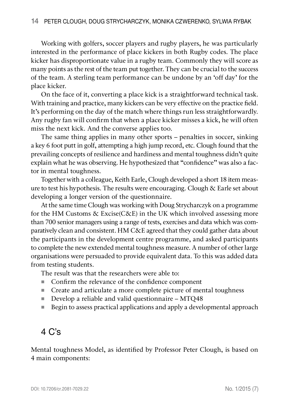Working with golfers, soccer players and rugby players, he was particularly interested in the performance of place kickers in both Rugby codes. The place kicker has disproportionate value in a rugby team. Commonly they will score as many points as the rest of the team put together. They can be crucial to the success of the team. A sterling team performance can be undone by an 'off day' for the place kicker.

On the face of it, converting a place kick is a straightforward technical task. With training and practice, many kickers can be very effective on the practice field. It's performing on the day of the match where things run less straightforwardly. Any rugby fan will confirm that when a place kicker misses a kick, he will often miss the next kick. And the converse applies too.

The same thing applies in many other sports – penalties in soccer, sinking a key 6 foot putt in golf, attempting a high jump record, etc. Clough found that the prevailing concepts of resilience and hardiness and mental toughness didn't quite explain what he was observing. He hypothesized that "confidence" was also a factor in mental toughness.

Together with a colleague, Keith Earle, Clough developed a short 18 item measure to test his hypothesis. The results were encouraging. Clough & Earle set about developing a longer version of the questionnaire.

At the same time Clough was working with Doug Strycharczyk on a programme for the HM Customs & Excise(C&E) in the UK which involved assessing more than 700 senior managers using a range of tests, exercises and data which was comparatively clean and consistent. HM C&E agreed that they could gather data about the participants in the development centre programme, and asked participants to complete the new extended mental toughness measure. A number of other large organisations were persuaded to provide equivalent data. To this was added data from testing students.

The result was that the researchers were able to:

- Confirm the relevance of the confidence component
- Create and articulate a more complete picture of mental toughness
- Develop a reliable and valid questionnaire MTQ48
- Begin to assess practical applications and apply a developmental approach

## 4 C's

Mental toughness Model, as identified by Professor Peter Clough, is based on 4 main components: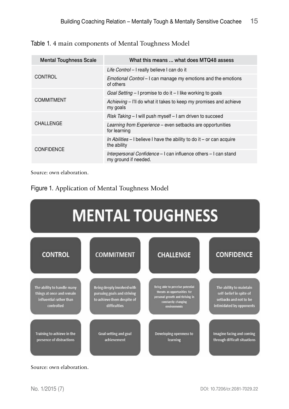Table 1. 4 main components of Mental Toughness Model

| <b>Mental Toughness Scale</b> | What this means  what does MTQ48 assess                                                 |
|-------------------------------|-----------------------------------------------------------------------------------------|
| CONTROL                       | Life Control – I really believe I can do it                                             |
|                               | Emotional Control - I can manage my emotions and the emotions<br>of others              |
| <b>COMMITMENT</b>             | Goal Setting $-1$ promise to do it $-1$ like working to goals                           |
|                               | Achieving – I'll do what it takes to keep my promises and achieve<br>my goals           |
| <b>CHALLENGE</b>              | Risk Taking - I will push myself - I am driven to succeed                               |
|                               | Learning from Experience – even setbacks are opportunities<br>for learning              |
| <b>CONFIDENCE</b>             | In Abilities $-1$ believe I have the ability to do it $-$ or can acquire<br>the ability |
|                               | Interpersonal Confidence – I can influence others – I can stand<br>my ground if needed. |

Source: own elaboration.

Figure 1. Application of Mental Toughness Model



Source: own elaboration.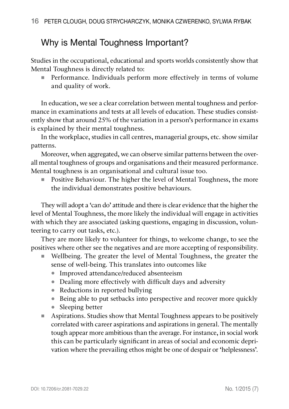## Why is Mental Toughness Important?

Studies in the occupational, educational and sports worlds consistently show that Mental Toughness is directly related to:

**Performance.** Individuals perform more effectively in terms of volume and quality of work.

In education, we see a clear correlation between mental toughness and performance in examinations and tests at all levels of education. These studies consistently show that around 25% of the variation in a person's performance in exams is explained by their mental toughness.

In the workplace, studies in call centres, managerial groups, etc. show similar patterns.

Moreover, when aggregated, we can observe similar patterns between the overall mental toughness of groups and organisations and their measured performance. Mental toughness is an organisational and cultural issue too.

 Positive Behaviour. The higher the level of Mental Toughness, the more the individual demonstrates positive behaviours.

They will adopt a 'can do' attitude and there is clear evidence that the higher the level of Mental Toughness, the more likely the individual will engage in activities with which they are associated (asking questions, engaging in discussion, volunteering to carry out tasks, etc.).

They are more likely to volunteer for things, to welcome change, to see the positives where other see the negatives and are more accepting of responsibility.

- Wellbeing. The greater the level of Mental Toughness, the greater the sense of well-being. This translates into outcomes like
	- Improved attendance/reduced absenteeism
	- Dealing more effectively with difficult days and adversity
	- Reductions in reported bullying
	- Being able to put setbacks into perspective and recover more quickly
	- $\bullet$  Sleeping better
- Aspirations. Studies show that Mental Toughness appears to be positively correlated with career aspirations and aspirations in general. The mentally tough appear more ambitious than the average. For instance, in social work this can be particularly significant in areas of social and economic deprivation where the prevailing ethos might be one of despair or 'helplessness'.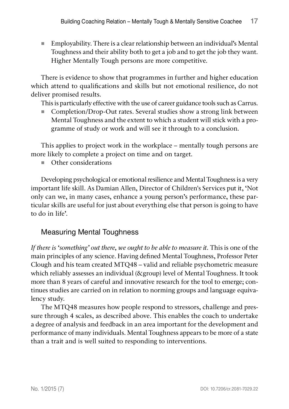Employability. There is a clear relationship between an individual's Mental Toughness and their ability both to get a job and to get the job they want. Higher Mentally Tough persons are more competitive.

There is evidence to show that programmes in further and higher education which attend to qualifications and skills but not emotional resilience, do not deliver promised results.

This is particularly effective with the use of career guidance tools such as Carrus.

■ Completion/Drop-Out rates. Several studies show a strong link between Mental Toughness and the extent to which a student will stick with a programme of study or work and will see it through to a conclusion.

This applies to project work in the workplace – mentally tough persons are more likely to complete a project on time and on target.

■ Other considerations

Developing psychological or emotional resilience and Mental Toughness is a very important life skill. As Damian Allen, Director of Children's Services put it, 'Not only can we, in many cases, enhance a young person's performance, these particular skills are useful for just about everything else that person is going to have to do in life'.

### Measuring Mental Toughness

If there is 'something' out there, we ought to be able to measure it. This is one of the main principles of any science. Having defined Mental Toughness, Professor Peter Clough and his team created MTQ48 – valid and reliable psychometric measure which reliably assesses an individual (&group) level of Mental Toughness. It took more than 8 years of careful and innovative research for the tool to emerge; continues studies are carried on in relation to norming groups and language equivalency study.

The MTQ48 measures how people respond to stressors, challenge and pressure through 4 scales, as described above. This enables the coach to undertake a degree of analysis and feedback in an area important for the development and performance of many individuals. Mental Toughness appears to be more of a state than a trait and is well suited to responding to interventions.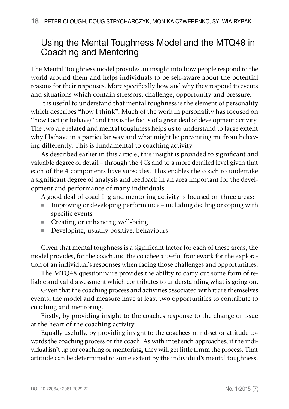## Using the Mental Toughness Model and the MTQ48 in Coaching and Mentoring

The Mental Toughness model provides an insight into how people respond to the world around them and helps individuals to be self-aware about the potential reasons for their responses. More specifically how and why they respond to events and situations which contain stressors, challenge, opportunity and pressure.

It is useful to understand that mental toughness is the element of personality which describes "how I think". Much of the work in personality has focused on "how I act (or behave)" and this is the focus of a great deal of development activity. The two are related and mental toughness helps us to understand to large extent why I behave in a particular way and what might be preventing me from behaving differently. This is fundamental to coaching activity.

As described earlier in this article, this insight is provided to significant and valuable degree of detail – through the 4Cs and to a more detailed level given that each of the 4 components have subscales. This enables the coach to undertake a significant degree of analysis and feedback in an area important for the development and performance of many individuals.

A good deal of coaching and mentoring activity is focused on three areas:

- Improving or developing performance including dealing or coping with specific events
- Creating or enhancing well-being
- Developing, usually positive, behaviours

Given that mental toughness is a significant factor for each of these areas, the model provides, for the coach and the coachee a useful framework for the exploration of an individual's responses when facing those challenges and opportunities.

The MTQ48 questionnaire provides the ability to carry out some form of reliable and valid assessment which contributes to understanding what is going on.

Given that the coaching process and activities associated with it are themselves events, the model and measure have at least two opportunities to contribute to coaching and mentoring.

Firstly, by providing insight to the coaches response to the change or issue at the heart of the coaching activity.

Equally usefully, by providing insight to the coachees mind-set or attitude towards the coaching process or the coach. As with most such approaches, if the individual isn't up for coaching or mentoring, they will get little frmm the process. That attitude can be determined to some extent by the individual's mental toughness.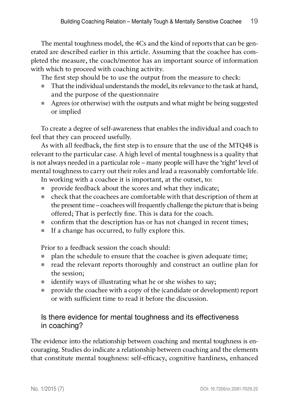The mental toughness model, the 4Cs and the kind of reports that can be generated are described earlier in this article. Assuming that the coachee has completed the measure, the coach/mentor has an important source of information with which to proceed with coaching activity.

The first step should be to use the output from the measure to check:

- That the individual understands the model, its relevance to the task at hand, and the purpose of the questionnaire
- Agrees (or otherwise) with the outputs and what might be being suggested or implied

To create a degree of self-awareness that enables the individual and coach to feel that they can proceed usefully.

As with all feedback, the first step is to ensure that the use of the MTQ48 is relevant to the particular case. A high level of mental toughness is a quality that is not always needed in a particular role – many people will have the 'right' level of mental toughness to carry out their roles and lead a reasonably comfortable life.

In working with a coachee it is important, at the outset, to:

- provide feedback about the scores and what they indicate;
- check that the coachees are comfortable with that description of them at the present time – coachees will frequently challenge the picture that is being offered; That is perfectly fine. This is data for the coach.
- confirm that the description has or has not changed in recent times;
- $\blacksquare$  If a change has occurred, to fully explore this.

Prior to a feedback session the coach should:

- plan the schedule to ensure that the coachee is given adequate time;
- read the relevant reports thoroughly and construct an outline plan for the session;
- identify ways of illustrating what he or she wishes to say;
- **PED FIGUREY** provide the coachee with a copy of the (candidate or development) report or with sufficient time to read it before the discussion.

### Is there evidence for mental toughness and its effectiveness in coaching?

The evidence into the relationship between coaching and mental toughness is encouraging. Studies do indicate a relationship between coaching and the elements that constitute mental toughness: self-efficacy, cognitive hardiness, enhanced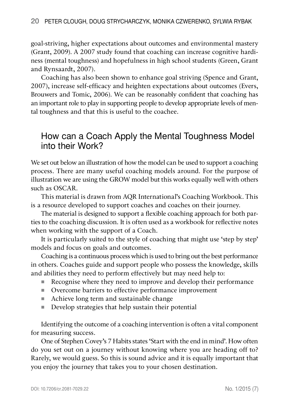goal-striving, higher expectations about outcomes and environmental mastery (Grant, 2009). A 2007 study found that coaching can increase cognitive hardiness (mental toughness) and hopefulness in high school students (Green, Grant and Rynsaardt, 2007).

Coaching has also been shown to enhance goal striving (Spence and Grant, 2007), increase self-efficacy and heighten expectations about outcomes (Evers, Brouwers and Tomic, 2006). We can be reasonably confident that coaching has an important role to play in supporting people to develop appropriate levels of mental toughness and that this is useful to the coachee.

## How can a Coach Apply the Mental Toughness Model into their Work?

We set out below an illustration of how the model can be used to support a coaching process. There are many useful coaching models around. For the purpose of illustration we are using the GROW model but this works equally well with others such as OSCAR.

This material is drawn from AQR International's Coaching Workbook. This is a resource developed to support coaches and coaches on their journey.

The material is designed to support a flexible coaching approach for both parties to the coaching discussion. It is often used as a workbook for reflective notes when working with the support of a Coach.

It is particularly suited to the style of coaching that might use 'step by step' models and focus on goals and outcomes.

Coaching is a continuous process which is used to bring out the best performance in others. Coaches guide and support people who possess the knowledge, skills and abilities they need to perform effectively but may need help to:

- Recognise where they need to improve and develop their performance
- Overcome barriers to effective performance improvement
- Achieve long term and sustainable change
- Develop strategies that help sustain their potential

Identifying the outcome of a coaching intervention is often a vital component for measuring success.

One of Stephen Covey's 7 Habits states 'Start with the end in mind'. How often do you set out on a journey without knowing where you are heading off to? Rarely, we would guess. So this is sound advice and it is equally important that you enjoy the journey that takes you to your chosen destination.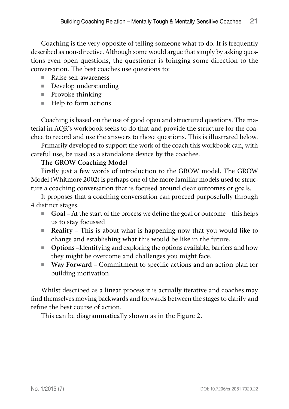Coaching is the very opposite of telling someone what to do. It is frequently described as non-directive. Although some would argue that simply by asking questions even open questions, the questioner is bringing some direction to the conversation. The best coaches use questions to:

- Raise self-awareness
- Develop understanding
- $\blacksquare$  Provoke thinking
- $\blacksquare$  Help to form actions

Coaching is based on the use of good open and structured questions. The material in AQR's workbook seeks to do that and provide the structure for the coachee to record and use the answers to those questions. This is illustrated below.

Primarily developed to support the work of the coach this workbook can, with careful use, be used as a standalone device by the coachee.

#### The GROW Coaching Model

Firstly just a few words of introduction to the GROW model. The GROW Model (Whitmore 2002) is perhaps one of the more familiar models used to structure a coaching conversation that is focused around clear outcomes or goals.

It proposes that a coaching conversation can proceed purposefully through 4 distinct stages.

- Goal At the start of the process we define the goal or outcome this helps us to stay focussed
- Reality This is about what is happening now that you would like to change and establishing what this would be like in the future.
- Options –Identifying and exploring the options available, barriers and how they might be overcome and challenges you might face.
- Way Forward Commitment to specific actions and an action plan for building motivation.

Whilst described as a linear process it is actually iterative and coaches may find themselves moving backwards and forwards between the stages to clarify and refine the best course of action.

This can be diagrammatically shown as in the Figure 2.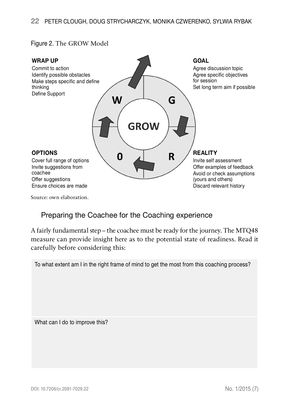#### Figure 2. The GROW Model



Source: own elaboration.

### Preparing the Coachee for the Coaching experience

A fairly fundamental step – the coachee must be ready for the journey. The MTQ48 measure can provide insight here as to the potential state of readiness. Read it carefully before considering this:

To what extent am I in the right frame of mind to get the most from this coaching process?

What can I do to improve this?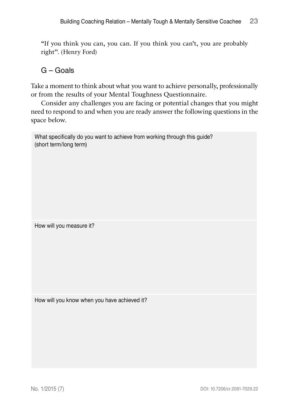"If you think you can, you can. If you think you can't, you are probably right". (Henry Ford)

### G – Goals

Take a moment to think about what you want to achieve personally, professionally or from the results of your Mental Toughness Questionnaire.

Consider any challenges you are facing or potential changes that you might need to respond to and when you are ready answer the following questions in the space below.

What specifically do you want to achieve from working through this guide? (short term/long term)

How will you measure it?

How will you know when you have achieved it?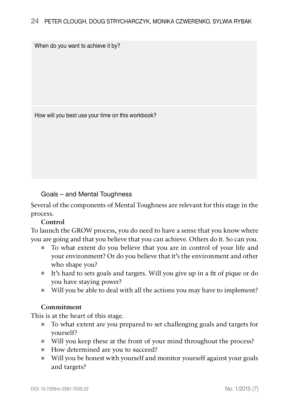When do you want to achieve it by?

How will you best use your time on this workbook?

#### Goals – and Mental Toughness

Several of the components of Mental Toughness are relevant for this stage in the process.

#### Control

To launch the GROW process, you do need to have a sense that you know where you are going and that you believe that you can achieve. Others do it. So can you.

- To what extent do you believe that you are in control of your life and your environment? Or do you believe that it's the environment and other who shape you?
- It's hard to sets goals and targets. Will you give up in a fit of pique or do you have staying power?
- Will you be able to deal with all the actions you may have to implement?

#### Commitment

This is at the heart of this stage.

- To what extent are you prepared to set challenging goals and targets for yourself?
- Will you keep these at the front of your mind throughout the process?
- How determined are you to succeed?
- Will you be honest with yourself and monitor yourself against your goals and targets?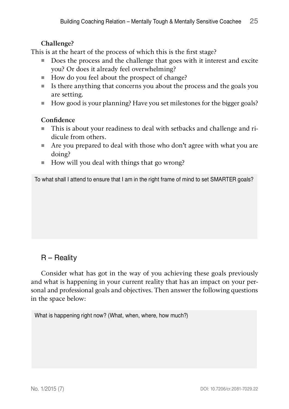#### Challenge?

This is at the heart of the process of which this is the first stage?

- Does the process and the challenge that goes with it interest and excite you? Or does it already feel overwhelming?
- How do you feel about the prospect of change?
- $\blacksquare$  Is there anything that concerns you about the process and the goals you are setting.
- How good is your planning? Have you set milestones for the bigger goals?

#### **Confidence**

- This is about your readiness to deal with setbacks and challenge and ridicule from others.
- Are you prepared to deal with those who don't agree with what you are doing?
- $\blacksquare$  How will you deal with things that go wrong?

To what shall I attend to ensure that I am in the right frame of mind to set SMARTER goals?

### R – Reality

Consider what has got in the way of you achieving these goals previously and what is happening in your current reality that has an impact on your personal and professional goals and objectives. Then answer the following questions in the space below:

What is happening right now? (What, when, where, how much?)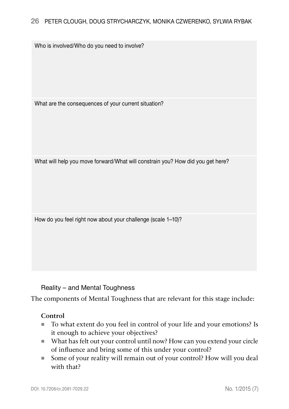Who is involved/Who do you need to involve?

What are the consequences of your current situation?

What will help you move forward/What will constrain you? How did you get here?

How do you feel right now about your challenge (scale 1–10)?

Reality – and Mental Toughness

The components of Mental Toughness that are relevant for this stage include:

#### Control

- To what extent do you feel in control of your life and your emotions? Is it enough to achieve your objectives?
- What has felt out your control until now? How can you extend your circle of influence and bring some of this under your control?
- Some of your reality will remain out of your control? How will you deal with that?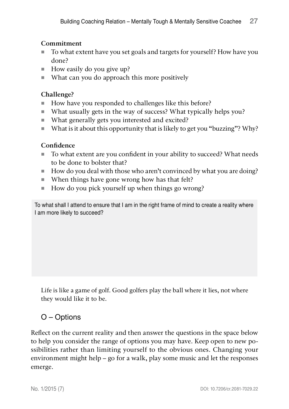#### Commitment

- To what extent have you set goals and targets for yourself? How have you done?
- $\blacksquare$  How easily do you give up?
- What can you do approach this more positively

#### Challenge?

- How have you responded to challenges like this before?
- What usually gets in the way of success? What typically helps you?
- What generally gets you interested and excited?
- What is it about this opportunity that is likely to get you "buzzing"? Why?

#### Confidence

- To what extent are you confident in your ability to succeed? What needs to be done to bolster that?
- How do you deal with those who aren't convinced by what you are doing?
- When things have gone wrong how has that felt?
- $\blacksquare$  How do you pick yourself up when things go wrong?

To what shall I attend to ensure that I am in the right frame of mind to create a reality where I am more likely to succeed?

Life is like a game of golf. Good golfers play the ball where it lies, not where they would like it to be.

### O – Options

Reflect on the current reality and then answer the questions in the space below to help you consider the range of options you may have. Keep open to new possibilities rather than limiting yourself to the obvious ones. Changing your environment might help – go for a walk, play some music and let the responses emerge.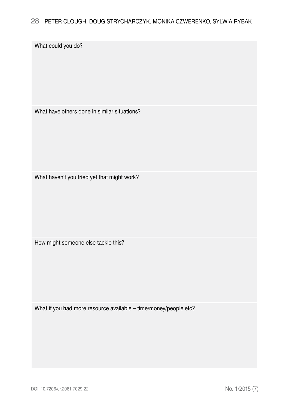What could you do?

What have others done in similar situations?

What haven't you tried yet that might work?

How might someone else tackle this?

What if you had more resource available – time/money/people etc?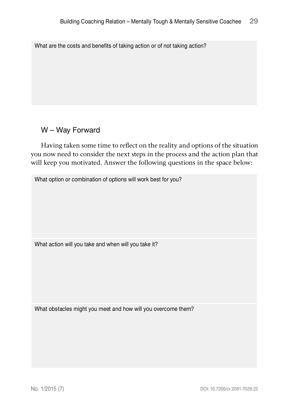What are the costs and benefits of taking action or of not taking action?

### W – Way Forward

Having taken some time to reflect on the reality and options of the situation you now need to consider the next steps in the process and the action plan that will keep you motivated. Answer the following questions in the space below:

What option or combination of options will work best for you?

What action will you take and when will you take it?

What obstacles might you meet and how will you overcome them?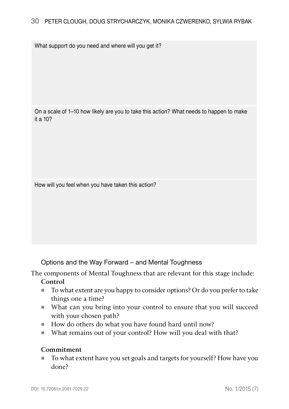What support do you need and where will you get it?

On a scale of 1–10 how likely are you to take this action? What needs to happen to make it a 10?

How will you feel when you have taken this action?

Options and the Way Forward – and Mental Toughness

The components of Mental Toughness that are relevant for this stage include:

#### Control

- To what extent are you happy to consider options? Or do you prefer to take things one a time?
- What can you bring into your control to ensure that you will succeed with your chosen path?
- How do others do what you have found hard until now?
- What remains out of your control? How will you deal with that?

#### Commitment

■ To what extent have you set goals and targets for yourself? How have you done?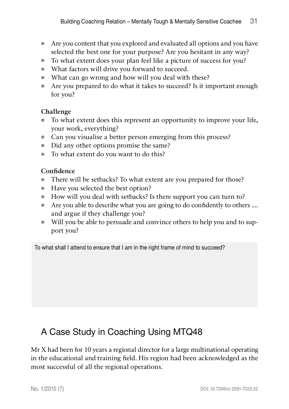- Are you content that you explored and evaluated all options and you have selected the best one for your purpose? Are you hesitant in any way?
- To what extent does your plan feel like a picture of success for you?
- What factors will drive you forward to succeed.
- What can go wrong and how will you deal with these?
- Are you prepared to do what it takes to succeed? Is it important enough for you?

#### Challenge

- To what extent does this represent an opportunity to improve your life, your work, everything?
- Can you visualise a better person emerging from this process?
- Did any other options promise the same?
- To what extent do you want to do this?

#### Confidence

- There will be setbacks? To what extent are you prepared for those?
- Have you selected the best option?
- How will you deal with setbacks? Is there support you can turn to?
- Are you able to describe what you are going to do confidently to others .... and argue if they challenge you?
- Will you be able to persuade and convince others to help you and to support you?

To what shall I attend to ensure that I am in the right frame of mind to succeed?

## A Case Study in Coaching Using MTQ48

Mr X had been for 10 years a regional director for a large multinational operating in the educational and training field. His region had been acknowledged as the most successful of all the regional operations.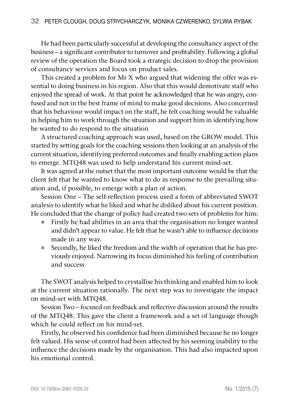He had been particularly successful at developing the consultancy aspect of the business – a significant contributor to turnover and profitability. Following a global review of the operation the Board took a strategic decision to drop the provision of consultancy services and focus on product sales.

This created a problem for Mr X who argued that widening the offer was essential to doing business in his region. Also that this would demotivate staff who enjoyed the spread of work. At that point he acknowledged that he was angry, confused and not in the best frame of mind to make good decisions. Also concerned that his behaviour would impact on the staff, he felt coaching would be valuable in helping him to work through the situation and support him in identifying how he wanted to do respond to the situation

A structured coaching approach was used, based on the GROW model. This started by setting goals for the coaching sessions then looking at an analysis of the current situation, identifying preferred outcomes and finally enabling action plans to emerge. MTQ48 was used to help understand his current mind-set.

It was agreed at the outset that the most important outcome would be that the client felt that he wanted to know what to do in response to the prevailing situation and, if possible, to emerge with a plan of action.

Session One – The self-reflection process used a form of abbreviated SWOT analysis to identify what he liked and what he disliked about his current position. He concluded that the change of policy had created two sets of problems for him:

- Firstly he had abilities in an area that the organisation no longer wanted and didn't appear to value. He felt that he wasn't able to influence decisions made in any way.
- Secondly, he liked the freedom and the width of operation that he has previously enjoyed. Narrowing its focus diminished his feeling of contribution and success

The SWOT analysis helped to crystallise his thinking and enabled him to look at the current situation rationally. The next step was to investigate the impact on mind-set with MTQ48.

Session Two – focused on feedback and reflective discussion around the results of the MTQ48. This gave the client a framework and a set of language though which he could reflect on his mind-set.

Firstly, he observed his confidence had been diminished because he no longer felt valued. His sense of control had been affected by his seeming inability to the influence the decisions made by the organisation. This had also impacted upon his emotional control.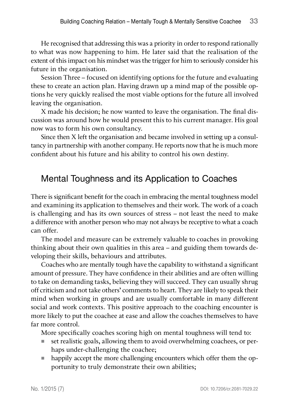He recognised that addressing this was a priority in order to respond rationally to what was now happening to him. He later said that the realisation of the extent of this impact on his mindset was the trigger for him to seriously consider his future in the organisation.

Session Three – focused on identifying options for the future and evaluating these to create an action plan. Having drawn up a mind map of the possible options he very quickly realised the most viable options for the future all involved leaving the organisation.

X made his decision; he now wanted to leave the organisation. The final discussion was around how he would present this to his current manager. His goal now was to form his own consultancy.

Since then X left the organisation and became involved in setting up a consultancy in partnership with another company. He reports now that he is much more confident about his future and his ability to control his own destiny.

## Mental Toughness and its Application to Coaches

There is significant benefit for the coach in embracing the mental toughness model and examining its application to themselves and their work. The work of a coach is challenging and has its own sources of stress – not least the need to make a difference with another person who may not always be receptive to what a coach can offer.

The model and measure can be extremely valuable to coaches in provoking thinking about their own qualities in this area – and guiding them towards developing their skills, behaviours and attributes.

Coaches who are mentally tough have the capability to withstand a significant amount of pressure. They have confidence in their abilities and are often willing to take on demanding tasks, believing they will succeed. They can usually shrug off criticism and not take others' comments to heart. They are likely to speak their mind when working in groups and are usually comfortable in many different social and work contexts. This positive approach to the coaching encounter is more likely to put the coachee at ease and allow the coaches themselves to have far more control.

More specifically coaches scoring high on mental toughness will tend to:

- set realistic goals, allowing them to avoid overwhelming coachees, or perhaps under-challenging the coachee;
- happily accept the more challenging encounters which offer them the opportunity to truly demonstrate their own abilities;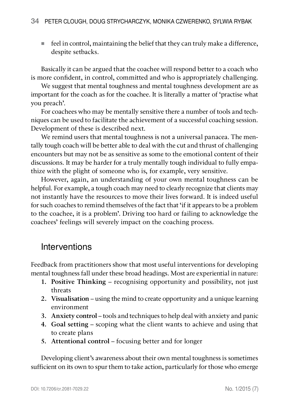feel in control, maintaining the belief that they can truly make a difference, despite setbacks.

Basically it can be argued that the coachee will respond better to a coach who is more confident, in control, committed and who is appropriately challenging.

We suggest that mental toughness and mental toughness development are as important for the coach as for the coachee. It is literally a matter of 'practise what you preach'.

For coachees who may be mentally sensitive there a number of tools and techniques can be used to facilitate the achievement of a successful coaching session. Development of these is described next.

We remind users that mental toughness is not a universal panacea. The mentally tough coach will be better able to deal with the cut and thrust of challenging encounters but may not be as sensitive as some to the emotional content of their discussions. It may be harder for a truly mentally tough individual to fully empathize with the plight of someone who is, for example, very sensitive.

However, again, an understanding of your own mental toughness can be helpful. For example, a tough coach may need to clearly recognize that clients may not instantly have the resources to move their lives forward. It is indeed useful for such coaches to remind themselves of the fact that 'if it appears to be a problem to the coachee, it is a problem'. Driving too hard or failing to acknowledge the coachees' feelings will severely impact on the coaching process.

### **Interventions**

Feedback from practitioners show that most useful interventions for developing mental toughness fall under these broad headings. Most are experiential in nature:

- 1. Positive Thinking recognising opportunity and possibility, not just threats
- 2. Visualisation using the mind to create opportunity and a unique learning environment
- 3. Anxiety control tools and techniques to help deal with anxiety and panic
- 4. Goal setting scoping what the client wants to achieve and using that to create plans
- 5. Attentional control focusing better and for longer

Developing client's awareness about their own mental toughness is sometimes sufficient on its own to spur them to take action, particularly for those who emerge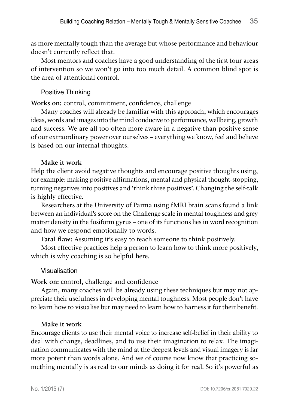as more mentally tough than the average but whose performance and behaviour doesn't currently reflect that.

Most mentors and coaches have a good understanding of the first four areas of intervention so we won't go into too much detail. A common blind spot is the area of attentional control.

#### Positive Thinking

Works on: control, commitment, confidence, challenge

Many coaches will already be familiar with this approach, which encourages ideas, words and images into the mind conducive to performance, wellbeing, growth and success. We are all too often more aware in a negative than positive sense of our extraordinary power over ourselves – everything we know, feel and believe is based on our internal thoughts.

#### Make it work

Help the client avoid negative thoughts and encourage positive thoughts using, for example: making positive affirmations, mental and physical thought-stopping, turning negatives into positives and 'think three positives'. Changing the self-talk is highly effective.

Researchers at the University of Parma using fMRI brain scans found a link between an individual's score on the Challenge scale in mental toughness and grey matter density in the fusiform gyrus – one of its functions lies in word recognition and how we respond emotionally to words.

Fatal flaw: Assuming it's easy to teach someone to think positively.

Most effective practices help a person to learn how to think more positively, which is why coaching is so helpful here.

#### Visualisation

Work on: control, challenge and confidence

Again, many coaches will be already using these techniques but may not appreciate their usefulness in developing mental toughness. Most people don't have to learn how to visualise but may need to learn how to harness it for their benefit.

#### Make it work

Encourage clients to use their mental voice to increase self-belief in their ability to deal with change, deadlines, and to use their imagination to relax. The imagination communicates with the mind at the deepest levels and visual imagery is far more potent than words alone. And we of course now know that practicing something mentally is as real to our minds as doing it for real. So it's powerful as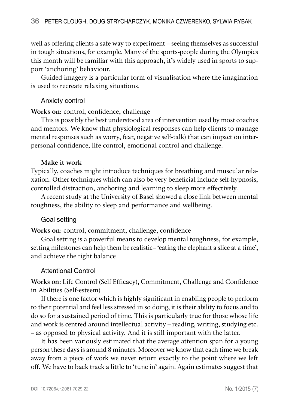well as offering clients a safe way to experiment – seeing themselves as successful in tough situations, for example. Many of the sports-people during the Olympics this month will be familiar with this approach, it's widely used in sports to support 'anchoring' behaviour.

Guided imagery is a particular form of visualisation where the imagination is used to recreate relaxing situations.

#### Anxiety control

Works on: control, confidence, challenge

This is possibly the best understood area of intervention used by most coaches and mentors. We know that physiological responses can help clients to manage mental responses such as worry, fear, negative self-talk) that can impact on interpersonal confidence, life control, emotional control and challenge.

#### Make it work

Typically, coaches might introduce techniques for breathing and muscular relaxation. Other techniques which can also be very beneficial include self-hypnosis, controlled distraction, anchoring and learning to sleep more effectively.

A recent study at the University of Basel showed a close link between mental toughness, the ability to sleep and performance and wellbeing.

#### Goal setting

Works on: control, commitment, challenge, confidence

Goal setting is a powerful means to develop mental toughness, for example, setting milestones can help them be realistic– 'eating the elephant a slice at a time', and achieve the right balance

#### Attentional Control

Works on: Life Control (Self Efficacy), Commitment, Challenge and Confidence in Abilities (Self-esteem)

If there is one factor which is highly significant in enabling people to perform to their potential and feel less stressed in so doing, it is their ability to focus and to do so for a sustained period of time. This is particularly true for those whose life and work is centred around intellectual activity – reading, writing, studying etc. – as opposed to physical activity. And it is still important with the latter.

It has been variously estimated that the average attention span for a young person these days is around 8 minutes. Moreover we know that each time we break away from a piece of work we never return exactly to the point where we left off. We have to back track a little to 'tune in' again. Again estimates suggest that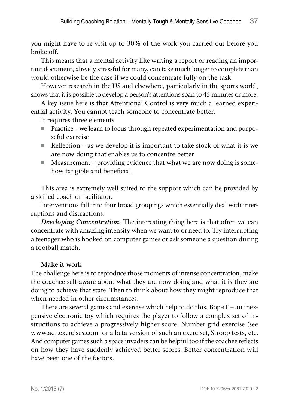you might have to re-visit up to 30% of the work you carried out before you broke off.

This means that a mental activity like writing a report or reading an important document, already stressful for many, can take much longer to complete than would otherwise be the case if we could concentrate fully on the task.

However research in the US and elsewhere, particularly in the sports world, shows that it is possible to develop a person's attentions span to 45 minutes or more.

A key issue here is that Attentional Control is very much a learned experiential activity. You cannot teach someone to concentrate better.

It requires three elements:

- Practice we learn to focus through repeated experimentation and purposeful exercise
- Reflection as we develop it is important to take stock of what it is we are now doing that enables us to concentre better
- $\blacksquare$  Measurement providing evidence that what we are now doing is somehow tangible and beneficial.

This area is extremely well suited to the support which can be provided by a skilled coach or facilitator.

Interventions fall into four broad groupings which essentially deal with interruptions and distractions:

Developing Concentration. The interesting thing here is that often we can concentrate with amazing intensity when we want to or need to. Try interrupting a teenager who is hooked on computer games or ask someone a question during a football match.

#### Make it work

The challenge here is to reproduce those moments of intense concentration, make the coachee self-aware about what they are now doing and what it is they are doing to achieve that state. Then to think about how they might reproduce that when needed in other circumstances.

There are several games and exercise which help to do this. Bop-iT – an inexpensive electronic toy which requires the player to follow a complex set of instructions to achieve a progressively higher score. Number grid exercise (see www.aqr.exercises.com for a beta version of such an exercise), Stroop tests, etc. And computer games such a space invaders can be helpful too if the coachee reflects on how they have suddenly achieved better scores. Better concentration will have been one of the factors.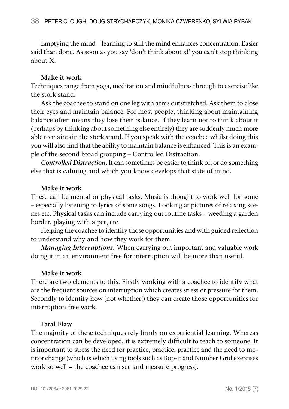Emptying the mind – learning to still the mind enhances concentration. Easier said than done. As soon as you say 'don't think about x!' you can't stop thinking about X.

#### Make it work

Techniques range from yoga, meditation and mindfulness through to exercise like the stork stand.

Ask the coachee to stand on one leg with arms outstretched. Ask them to close their eyes and maintain balance. For most people, thinking about maintaining balance often means they lose their balance. If they learn not to think about it (perhaps by thinking about something else entirely) they are suddenly much more able to maintain the stork stand. If you speak with the coachee whilst doing this you will also find that the ability to maintain balance is enhanced. This is an example of the second broad grouping – Controlled Distraction.

Controlled Distraction. It can sometimes be easier to think of, or do something else that is calming and which you know develops that state of mind.

#### Make it work

These can be mental or physical tasks. Music is thought to work well for some – especially listening to lyrics of some songs. Looking at pictures of relaxing scenes etc. Physical tasks can include carrying out routine tasks – weeding a garden border, playing with a pet, etc.

Helping the coachee to identify those opportunities and with guided reflection to understand why and how they work for them.

Managing Interruptions. When carrying out important and valuable work doing it in an environment free for interruption will be more than useful.

#### Make it work

There are two elements to this. Firstly working with a coachee to identify what are the frequent sources on interruption which creates stress or pressure for them. Secondly to identify how (not whether!) they can create those opportunities for interruption free work.

#### Fatal Flaw

The majority of these techniques rely firmly on experiential learning. Whereas concentration can be developed, it is extremely difficult to teach to someone. It is important to stress the need for practice, practice, practice and the need to monitor change (which is which using tools such as Bop-It and Number Grid exercises work so well – the coachee can see and measure progress).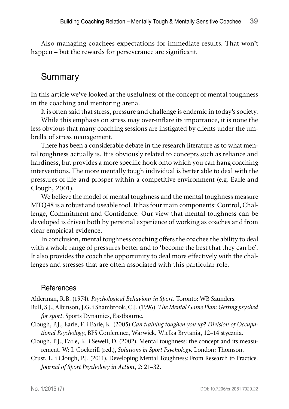Also managing coachees expectations for immediate results. That won't happen – but the rewards for perseverance are significant.

## **Summary**

In this article we've looked at the usefulness of the concept of mental toughness in the coaching and mentoring arena.

It is often said that stress, pressure and challenge is endemic in today's society.

While this emphasis on stress may over-inflate its importance, it is none the less obvious that many coaching sessions are instigated by clients under the umbrella of stress management.

There has been a considerable debate in the research literature as to what mental toughness actually is. It is obviously related to concepts such as reliance and hardiness, but provides a more specific hook onto which you can hang coaching interventions. The more mentally tough individual is better able to deal with the pressures of life and prosper within a competitive environment (e.g. Earle and Clough, 2001).

We believe the model of mental toughness and the mental toughness measure MTQ48 is a robust and useable tool. It has four main components: Control, Challenge, Commitment and Confidence. Our view that mental toughness can be developed is driven both by personal experience of working as coaches and from clear empirical evidence.

In conclusion, mental toughness coaching offers the coachee the ability to deal with a whole range of pressures better and to 'become the best that they can be'. It also provides the coach the opportunity to deal more effectively with the challenges and stresses that are often associated with this particular role.

### **References**

Alderman, R.B. (1974). Psychological Behaviour in Sport. Toronto: WB Saunders.

- Bull, S.J., Albinson, J.G. i Shambrook, C.J. (1996). The Mental Game Plan: Getting psyched for sport. Sports Dynamics, Eastbourne.
- Clough, P.J., Earle, F. i Earle, K. (2005) Can training toughen you up? Division of Occupational Psychology, BPS Conference, Warwick, Wielka Brytania, 12–14 stycznia.
- Clough, P.J., Earle, K. i Sewell, D. (2002). Mental toughness: the concept and its measurement. W: I. Cockerill (red.), Solutions in Sport Psychology. London: Thomson.
- Crust, L. i Clough, P.J. (2011). Developing Mental Toughness: From Research to Practice. Journal of Sport Psychology in Action, 2: 21–32.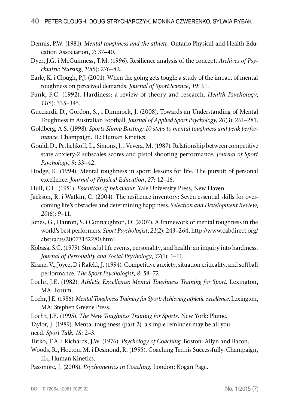- Dennis, P.W. (1981). Mental toughness and the athlete. Ontario Physical and Health Education Association, 7: 37–40.
- Dyer, J.G. i McGuinness, T.M. (1996). Resilience analysis of the concept. Archives of Psychiatric Nursing, 10(5): 276–82.
- Earle, K. i Clough, P.J. (2001). When the going gets tough: a study of the impact of mental toughness on perceived demands. Journal of Sport Science, 19: 61.
- Funk, F.C. (1992). Hardiness: a review of theory and research. Health Psychology, 11(5): 335–345.
- Gucciardi, D., Gordon, S., i Dimmock, J. (2008). Towards an Understanding of Mental Toughness in Australian Football. Journal of Applied Sport Psychology, 20(3): 261–281.
- Goldberg, A.S. (1998). Sports Slump Busting: 10 steps to mental toughness and peak performance. Champaign, IL: Human Kinetics.
- Gould, D., Petlichkoff, L., Simons, J. i Vevera, M. (1987). Relationship between competitive state anxiety-2 subscales scores and pistol shooting performance. Journal of Sport Psychology, 9: 33–42.
- Hodge, K. (1994). Mental toughness in sport: lessons for life. The pursuit of personal excellence. Journal of Physical Education, 27: 12–16.
- Hull, C.L. (1951). Essentials of behaviour. Yale University Press, New Haven.
- Jackson, R. i Watkin, C. (2004). The resilience inventory: Seven essential skills for overcoming life's obstacles and determining happiness. Selection and Development Review, 20(6): 9–11.
- Jones, G., Hanton, S. i Connaughton, D. (2007). A framework of mental toughness in the world's best performers. Sport Psychologist, 21(2): 243–264, http://www.cabdirect.org/ abstracts/20073152280.html
- Kobasa, S.C. (1979). Stressful life events, personality, and health: an inquiry into hardiness. Journal of Personality and Social Psychology, 37(1): 1–11.

Krane, V., Joyce, D i Rafeld, J. (1994). Competitive anxiety, situation criticality, and softball performance. The Sport Psychologist, 8: 58–72.

Loehr, J.E. (1982). Athletic Excellence: Mental Toughness Training for Sport. Lexington, MA: Forum.

Loehr, J.E. (1986). Mental Toughness Training for Sport: Achieving athletic excellence. Lexington, MA: Stephen Greene Press.

Loehr, J.E. (1995). The New Toughness Training for Sports. New York: Plume.

Taylor, J. (1989). Mental toughness (part 2): a simple reminder may be all you need. Sport Talk, 18: 2–3.

Tutko, T.A. i Richards, J.W. (1976). Psychology of Coaching. Boston: Allyn and Bacon.

Woods, R., Hocton, M. i Desmond, R. (1995). Coaching Tennis Successfully. Champaign, IL:, Human Kinetics.

Passmore, J. (2008). Psychometrics in Coaching. London: Kogan Page.